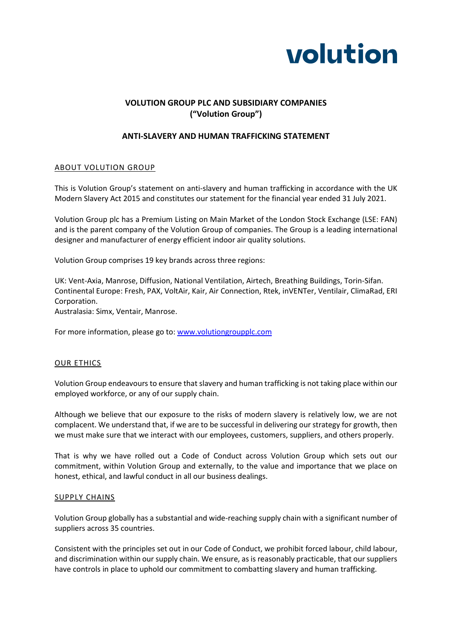

# **VOLUTION GROUP PLC AND SUBSIDIARY COMPANIES ("Volution Group")**

# **ANTI-SLAVERY AND HUMAN TRAFFICKING STATEMENT**

### ABOUT VOLUTION GROUP

This is Volution Group's statement on anti-slavery and human trafficking in accordance with the UK Modern Slavery Act 2015 and constitutes our statement for the financial year ended 31 July 2021.

Volution Group plc has a Premium Listing on Main Market of the London Stock Exchange (LSE: FAN) and is the parent company of the Volution Group of companies. The Group is a leading international designer and manufacturer of energy efficient indoor air quality solutions.

Volution Group comprises 19 key brands across three regions:

UK: Vent-Axia, Manrose, Diffusion, National Ventilation, Airtech, Breathing Buildings, Torin-Sifan. Continental Europe: Fresh, PAX, VoltAir, Kair, Air Connection, Rtek, inVENTer, Ventilair, ClimaRad, ERI Corporation.

Australasia: Simx, Ventair, Manrose.

For more information, please go to[: www.volutiongroupplc.com](http://www.volutiongroupplc.com/)

#### OUR ETHICS

Volution Group endeavours to ensure that slavery and human trafficking is not taking place within our employed workforce, or any of our supply chain.

Although we believe that our exposure to the risks of modern slavery is relatively low, we are not complacent. We understand that, if we are to be successful in delivering our strategy for growth, then we must make sure that we interact with our employees, customers, suppliers, and others properly.

That is why we have rolled out a Code of Conduct across Volution Group which sets out our commitment, within Volution Group and externally, to the value and importance that we place on honest, ethical, and lawful conduct in all our business dealings.

#### SUPPLY CHAINS

Volution Group globally has a substantial and wide-reaching supply chain with a significant number of suppliers across 35 countries.

Consistent with the principles set out in our Code of Conduct, we prohibit forced labour, child labour, and discrimination within our supply chain. We ensure, as is reasonably practicable, that our suppliers have controls in place to uphold our commitment to combatting slavery and human trafficking.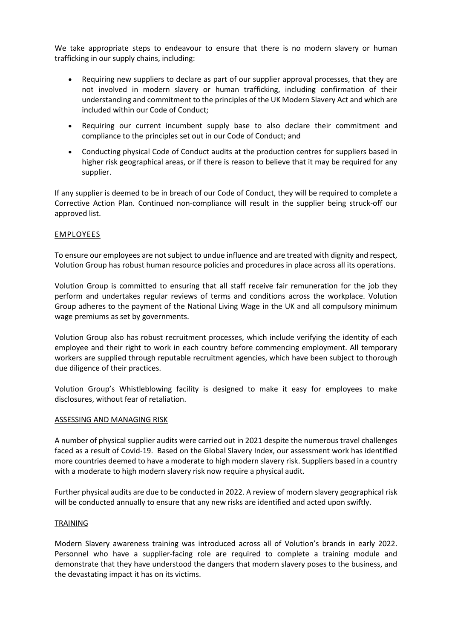We take appropriate steps to endeavour to ensure that there is no modern slavery or human trafficking in our supply chains, including:

- Requiring new suppliers to declare as part of our supplier approval processes, that they are not involved in modern slavery or human trafficking, including confirmation of their understanding and commitment to the principles of the UK Modern Slavery Act and which are included within our Code of Conduct;
- Requiring our current incumbent supply base to also declare their commitment and compliance to the principles set out in our Code of Conduct; and
- Conducting physical Code of Conduct audits at the production centres for suppliers based in higher risk geographical areas, or if there is reason to believe that it may be required for any supplier.

If any supplier is deemed to be in breach of our Code of Conduct, they will be required to complete a Corrective Action Plan. Continued non-compliance will result in the supplier being struck-off our approved list.

## EMPLOYEES

To ensure our employees are not subject to undue influence and are treated with dignity and respect, Volution Group has robust human resource policies and procedures in place across all its operations.

Volution Group is committed to ensuring that all staff receive fair remuneration for the job they perform and undertakes regular reviews of terms and conditions across the workplace. Volution Group adheres to the payment of the National Living Wage in the UK and all compulsory minimum wage premiums as set by governments.

Volution Group also has robust recruitment processes, which include verifying the identity of each employee and their right to work in each country before commencing employment. All temporary workers are supplied through reputable recruitment agencies, which have been subject to thorough due diligence of their practices.

Volution Group's Whistleblowing facility is designed to make it easy for employees to make disclosures, without fear of retaliation.

### ASSESSING AND MANAGING RISK

A number of physical supplier audits were carried out in 2021 despite the numerous travel challenges faced as a result of Covid-19. Based on the Global Slavery Index, our assessment work has identified more countries deemed to have a moderate to high modern slavery risk. Suppliers based in a country with a moderate to high modern slavery risk now require a physical audit.

Further physical audits are due to be conducted in 2022. A review of modern slavery geographical risk will be conducted annually to ensure that any new risks are identified and acted upon swiftly.

#### TRAINING

Modern Slavery awareness training was introduced across all of Volution's brands in early 2022. Personnel who have a supplier-facing role are required to complete a training module and demonstrate that they have understood the dangers that modern slavery poses to the business, and the devastating impact it has on its victims.